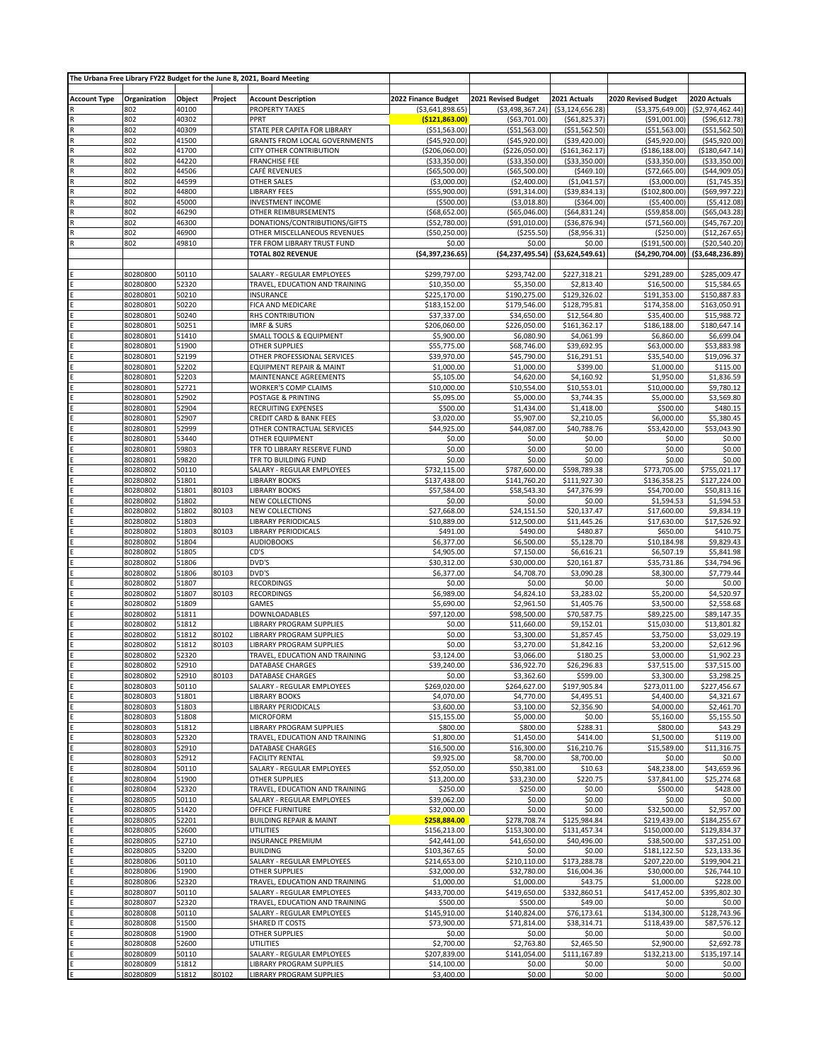|                         |                      |                |         | The Urbana Free Library FY22 Budget for the June 8, 2021, Board Meeting |                                   |                                   |                                    |                                     |                                 |
|-------------------------|----------------------|----------------|---------|-------------------------------------------------------------------------|-----------------------------------|-----------------------------------|------------------------------------|-------------------------------------|---------------------------------|
| <b>Account Type</b>     | Organization         | Object         | Project | <b>Account Description</b>                                              | 2022 Finance Budget               | 2021 Revised Budget               | 2021 Actuals                       | 2020 Revised Budget                 | 2020 Actuals                    |
|                         | 802                  | 40100          |         | PROPERTY TAXES                                                          | ( \$3,641,898.65)                 | ( \$3,498,367.24)                 | ( \$3, 124, 656.28]                | ( \$3,375,649.00)                   | ( \$2,974,462.44)               |
|                         | 802                  | 40302          |         | PPRT                                                                    | (\$121,863.00)                    | ( \$63,701.00)                    | ( \$61, 825.37]                    | ( \$91,001.00)                      | (\$96,612.78                    |
|                         | 802                  | 40309          |         | STATE PER CAPITA FOR LIBRARY                                            | ( \$51, 563.00)                   | ( \$51, 563.00)                   | ( \$51, 562.50)                    | ( \$51, 563.00)                     | ( \$51, 562.50]                 |
|                         | 802<br>802           | 41500<br>41700 |         | <b>GRANTS FROM LOCAL GOVERNMENTS</b>                                    | ( \$45, 920.00)                   | ( \$45, 920.00)                   | ( \$39,420.00)                     | ( \$45, 920.00)                     | ( \$45, 920.00]                 |
| $\overline{R}$<br>R     | 802                  | 44220          |         | CITY OTHER CONTRIBUTION<br><b>FRANCHISE FEE</b>                         | (\$206,060.00)<br>( \$33,350.00)  | (\$226,050.00)<br>( \$33, 350.00) | ( \$161, 362.17)<br>( \$33,350.00) | ( \$186, 188.00)<br>( \$33, 350.00) | (\$180,647.14<br>( \$33,350.00) |
| $\overline{\mathsf{R}}$ | 802                  | 44506          |         | CAFÉ REVENUES                                                           | ( \$65,500.00)                    | ( \$65,500.00)                    | ( \$469.10)                        | (\$72,665.00)                       | ( \$44, 909.05)                 |
| R                       | 802                  | 44599          |         | OTHER SALES                                                             | ( \$3,000.00)                     | (\$2,400.00)                      | ( \$1,041.57)                      | ( \$3,000.00)                       | ( \$1,745.35)                   |
|                         | 802                  | 44800          |         | <b>LIBRARY FEES</b>                                                     | ( \$55, 900.00)                   | ( \$91, 314.00)                   | ( \$39, 834.13)                    | (\$102,800.00)                      | (\$69,997.22)                   |
| $\mathsf{R}$            | 802                  | 45000          |         | <b>INVESTMENT INCOME</b>                                                | ( \$500.00)                       | ( \$3,018.80)                     | ( \$364.00)                        | ( \$5,400.00)                       | ( \$5,412.08)                   |
|                         | 802<br>802           | 46290<br>46300 |         | OTHER REIMBURSEMENTS<br>DONATIONS/CONTRIBUTIONS/GIFTS                   | ( \$68, 652.00)                   | ( \$65,046.00)<br>( \$91,010.00)  | ( \$64, 831.24)<br>( \$36, 876.94) | ( \$59, 858.00)<br>(\$71,560.00)    | ( \$65,043.28]<br>(\$45,767.20  |
| $\overline{\mathsf{R}}$ | 802                  | 46900          |         | OTHER MISCELLANEOUS REVENUES                                            | ( \$52,780.00)<br>( \$50, 250.00) | (\$255.50)                        | ( \$8,956.31]                      | ( \$250.00)                         | (\$12,267.65)                   |
|                         | 802                  | 49810          |         | TFR FROM LIBRARY TRUST FUND                                             | \$0.00                            | \$0.00                            | \$0.00                             | (\$191,500.00)                      | ( \$20, 540.20]                 |
|                         |                      |                |         | <b>TOTAL 802 REVENUE</b>                                                | ( \$4,397,236.65)                 | ( \$4,237,495.54)                 | ( \$3,624,549.61]                  | (\$4,290,704.00)                    | ( \$3,648,236.89)               |
|                         |                      |                |         |                                                                         |                                   |                                   |                                    |                                     |                                 |
|                         | 80280800             | 50110          |         | SALARY - REGULAR EMPLOYEES                                              | \$299,797.00                      | \$293,742.00                      | \$227,318.21                       | \$291,289.00                        | \$285,009.47                    |
|                         | 80280800             | 52320<br>50210 |         | TRAVEL, EDUCATION AND TRAINING<br>INSURANCE                             | \$10,350.00                       | \$5,350.00<br>\$190,275.00        | \$2,813.40                         | \$16,500.00                         | \$15,584.65                     |
|                         | 80280801<br>80280801 | 50220          |         | FICA AND MEDICARE                                                       | \$225,170.00<br>\$183,152.00      | \$179,546.00                      | \$129,326.02<br>\$128,795.81       | \$191,353.00<br>\$174,358.00        | \$150,887.83<br>\$163,050.91    |
|                         | 80280801             | 50240          |         | RHS CONTRIBUTION                                                        | \$37,337.00                       | \$34,650.00                       | \$12,564.80                        | \$35,400.00                         | \$15,988.72                     |
|                         | 80280801             | 50251          |         | <b>IMRF &amp; SURS</b>                                                  | \$206,060.00                      | \$226,050.00                      | \$161,362.17                       | \$186,188.00                        | \$180,647.14                    |
|                         | 80280801             | 51410          |         | SMALL TOOLS & EQUIPMENT                                                 | \$5,900.00                        | \$6,080.90                        | \$4,061.99                         | \$6,860.00                          | \$6,699.04                      |
|                         | 80280801             | 51900          |         | <b>OTHER SUPPLIES</b>                                                   | \$55,775.00                       | \$68,746.00                       | \$39,692.95                        | \$63,000.00                         | \$53,883.98                     |
|                         | 80280801             | 52199          |         | OTHER PROFESSIONAL SERVICES                                             | \$39,970.00                       | \$45,790.00                       | \$16,291.51                        | \$35,540.00                         | \$19,096.37                     |
|                         | 80280801<br>80280801 | 52202<br>52203 |         | EQUIPMENT REPAIR & MAINT<br>MAINTENANCE AGREEMENTS                      | \$1,000.00<br>\$5,105.00          | \$1,000.00<br>\$4,620.00          | \$399.00<br>\$4,160.92             | \$1,000.00<br>\$1,950.00            | \$115.00<br>\$1,836.59          |
|                         | 80280801             | 52721          |         | <b>WORKER'S COMP CLAIMS</b>                                             | \$10,000.00                       | \$10,554.00                       | \$10,553.01                        | \$10,000.00                         | \$9,780.12                      |
|                         | 80280801             | 52902          |         | POSTAGE & PRINTING                                                      | \$5,095.00                        | \$5,000.00                        | \$3,744.35                         | \$5,000.00                          | \$3,569.80                      |
|                         | 80280801             | 52904          |         | RECRUITING EXPENSES                                                     | \$500.00                          | \$1,434.00                        | \$1,418.00                         | \$500.00                            | \$480.15                        |
|                         | 80280801             | 52907          |         | CREDIT CARD & BANK FEES                                                 | \$3.020.00                        | \$5,907.00                        | \$2,210.05                         | \$6,000.00                          | \$5,380.45                      |
|                         | 80280801             | 52999          |         | OTHER CONTRACTUAL SERVICES                                              | \$44,925.00                       | \$44,087.00                       | \$40,788.76                        | \$53,420.00                         | \$53,043.90                     |
|                         | 80280801<br>80280801 | 53440<br>59803 |         | OTHER EQUIPMENT<br>TFR TO LIBRARY RESERVE FUND                          | \$0.00<br>\$0.00                  | \$0.00<br>\$0.00                  | \$0.00<br>\$0.00                   | \$0.00<br>\$0.00                    | \$0.00<br>\$0.00                |
|                         | 80280801             | 59820          |         | TFR TO BUILDING FUND                                                    | \$0.00                            | \$0.00                            | \$0.00                             | \$0.00                              | \$0.00                          |
|                         | 80280802             | 50110          |         | SALARY - REGULAR EMPLOYEES                                              | \$732,115.00                      | \$787,600.00                      | \$598,789.38                       | \$773,705.00                        | \$755,021.17                    |
|                         | 80280802             | 51801          |         | <b>LIBRARY BOOKS</b>                                                    | \$137,438.00                      | \$141,760.20                      | \$111,927.30                       | \$136,358.25                        | \$127,224.00                    |
|                         | 80280802             | 51801          | 80103   | <b>LIBRARY BOOKS</b>                                                    | \$57,584.00                       | \$58,543.30                       | \$47,376.99                        | \$54,700.00                         | \$50,813.16                     |
|                         | 80280802             | 51802          |         | <b>NEW COLLECTIONS</b>                                                  | \$0.00                            | \$0.00                            | \$0.00                             | \$1,594.53                          | \$1,594.53                      |
|                         | 80280802<br>80280802 | 51802<br>51803 | 80103   | <b>NEW COLLECTIONS</b><br>LIBRARY PERIODICALS                           | \$27,668.00<br>\$10,889.00        | \$24,151.50<br>\$12,500.00        | \$20,137.47<br>\$11,445.26         | \$17,600.00<br>\$17,630.00          | \$9,834.19<br>\$17,526.92       |
|                         | 80280802             | 51803          | 80103   | LIBRARY PERIODICALS                                                     | \$491.00                          | \$490.00                          | \$480.87                           | \$650.00                            | \$410.75                        |
|                         | 80280802             | 51804          |         | <b>AUDIOBOOKS</b>                                                       | \$6,377.00                        | \$6,500.00                        | \$5,128.70                         | \$10,184.98                         | \$9,829.43                      |
|                         | 80280802             | 51805          |         | CD'S                                                                    | \$4,905.00                        | \$7,150.00                        | \$6,616.21                         | \$6,507.19                          | \$5,841.98                      |
|                         | 80280802             | 51806          |         | DVD'S                                                                   | \$30,312.00                       | \$30,000.00                       | \$20,161.87                        | \$35,731.86                         | \$34,794.96                     |
|                         | 80280802<br>80280802 | 51806<br>51807 | 80103   | DVD'S<br><b>RECORDINGS</b>                                              | \$6,377.00<br>\$0.00              | \$4,708.70<br>\$0.00              | \$3,090.28<br>\$0.00               | \$8,300.00<br>\$0.00                | \$7,779.44<br>\$0.00            |
|                         | 80280802             | 51807          | 80103   | <b>RECORDINGS</b>                                                       | \$6,989.00                        | \$4,824.10                        | \$3,283.02                         | \$5,200.00                          | \$4,520.97                      |
|                         | 80280802             | 51809          |         | <b>GAMES</b>                                                            | \$5,690.00                        | \$2,961.50                        | \$1,405.76                         | \$3,500.00                          | \$2,558.68                      |
|                         | 80280802             | 51811          |         | DOWNLOADABLES                                                           | \$97,120.00                       | \$98,500.00                       | \$70,587.75                        | \$89,225.00                         | \$89,147.35                     |
|                         | 80280802             | 51812          |         | LIBRARY PROGRAM SUPPLIES                                                | \$0.00                            | \$11,660.00                       | \$9,152.01                         | \$15,030.00                         | \$13,801.82                     |
|                         | 80280802             | 51812          | 80102   | LIBRARY PROGRAM SUPPLIES                                                | \$0.00                            | \$3,300.00                        | \$1,857.45                         | \$3,750.00                          | \$3,029.19                      |
|                         | 80280802<br>80280802 | 51812<br>52320 | 80103   | LIBRARY PROGRAM SUPPLIES<br>TRAVEL, EDUCATION AND TRAINING              | \$0.00<br>\$3,124.00              | \$3,270.00<br>\$3,066.00          | \$1,842.16<br>\$180.25             | \$3,200.00<br>\$3,000.00            | \$2,612.96<br>\$1,902.23        |
|                         | 80280802             | 52910          |         | DATABASE CHARGES                                                        | \$39,240.00                       | \$36,922.70                       | \$26,296.83                        | \$37,515.00                         | \$37,515.00                     |
|                         | 80280802             | 52910          | 80103   | DATABASE CHARGES                                                        | \$0.00                            | \$3,362.60                        | \$599.00                           | \$3,300.00                          | \$3,298.25                      |
|                         | 80280803             | 50110          |         | SALARY - REGULAR EMPLOYEES                                              | \$269,020.00                      | \$264,627.00                      | \$197,905.84                       | \$273,011.00                        | \$227,456.67                    |
|                         | 80280803             | 51801          |         | <b>LIBRARY BOOKS</b>                                                    | \$4,070.00                        | \$4,770.00                        | \$4,495.51                         | \$4,400.00                          | \$4,321.67                      |
|                         | 80280803             | 51803          |         | <b>LIBRARY PERIODICALS</b>                                              | \$3,600.00                        | \$3,100.00                        | \$2,356.90                         | \$4,000.00                          | \$2,461.70                      |
|                         | 80280803<br>80280803 | 51808<br>51812 |         | <b>MICROFORM</b><br>LIBRARY PROGRAM SUPPLIES                            | \$15,155.00<br>\$800.00           | \$5,000.00<br>\$800.00            | \$0.00<br>\$288.31                 | \$5,160.00<br>\$800.00              | \$5,155.50<br>\$43.29           |
|                         | 80280803             | 52320          |         | TRAVEL, EDUCATION AND TRAINING                                          | \$1,800.00                        | \$1,450.00                        | \$414.00                           | \$1,500.00                          | \$119.00                        |
|                         | 80280803             | 52910          |         | DATABASE CHARGES                                                        | \$16,500.00                       | \$16,300.00                       | \$16,210.76                        | \$15,589.00                         | \$11,316.75                     |
|                         | 80280803             | 52912          |         | <b>FACILITY RENTAL</b>                                                  | \$9,925.00                        | \$8,700.00                        | \$8,700.00                         | \$0.00                              | \$0.00                          |
|                         | 80280804             | 50110          |         | SALARY - REGULAR EMPLOYEES                                              | \$52,050.00                       | \$50,381.00                       | \$10.63                            | \$48,238.00                         | \$43,659.96                     |
|                         | 80280804             | 51900          |         | OTHER SUPPLIES                                                          | \$13,200.00                       | \$33,230.00                       | \$220.75                           | \$37,841.00                         | \$25,274.68                     |
|                         | 80280804<br>80280805 | 52320<br>50110 |         | TRAVEL, EDUCATION AND TRAINING<br>SALARY - REGULAR EMPLOYEES            | \$250.00<br>\$39,062.00           | \$250.00<br>\$0.00                | \$0.00<br>\$0.00                   | \$500.00<br>\$0.00                  | \$428.00<br>\$0.00              |
|                         | 80280805             | 51420          |         | OFFICE FURNITURE                                                        | \$32,000.00                       | \$0.00                            | \$0.00                             | \$32,500.00                         | \$2,957.00                      |
|                         | 80280805             | 52201          |         | <b>BUILDING REPAIR &amp; MAINT</b>                                      | \$258,884.00                      | \$278,708.74                      | \$125,984.84                       | \$219,439.00                        | \$184,255.67                    |
|                         | 80280805             | 52600          |         | <b>UTILITIES</b>                                                        | \$156,213.00                      | \$153,300.00                      | \$131,457.34                       | \$150,000.00                        | \$129,834.37                    |
|                         | 80280805             | 52710          |         | <b>INSURANCE PREMIUM</b>                                                | \$42,441.00                       | \$41,650.00                       | \$40,496.00                        | \$38,500.00                         | \$37,251.00                     |
|                         | 80280805<br>80280806 | 53200<br>50110 |         | <b>BUILDING</b><br>SALARY - REGULAR EMPLOYEES                           | \$103,367.65<br>\$214,653.00      | \$0.00<br>\$210,110.00            | \$0.00<br>\$173,288.78             | \$181,122.50<br>\$207,220.00        | \$23,133.36<br>\$199,904.21     |
|                         | 80280806             | 51900          |         | OTHER SUPPLIES                                                          | \$32,000.00                       | \$32,780.00                       | \$16,004.36                        | \$30,000.00                         | \$26,744.10                     |
|                         | 80280806             | 52320          |         | TRAVEL, EDUCATION AND TRAINING                                          | \$1,000.00                        | \$1,000.00                        | \$43.75                            | \$1,000.00                          | \$228.00                        |
|                         | 80280807             | 50110          |         | SALARY - REGULAR EMPLOYEES                                              | \$433,700.00                      | \$419,650.00                      | \$332,860.51                       | \$417,452.00                        | \$395,802.30                    |
|                         | 80280807             | 52320          |         | TRAVEL, EDUCATION AND TRAINING                                          | \$500.00                          | \$500.00                          | \$49.00                            | \$0.00                              | \$0.00                          |
|                         | 80280808             | 50110          |         | SALARY - REGULAR EMPLOYEES                                              | \$145,910.00                      | \$140,824.00                      | \$76,173.61                        | \$134,300.00                        | \$128,743.96                    |
|                         | 80280808<br>80280808 | 51500<br>51900 |         | SHARED IT COSTS<br>OTHER SUPPLIES                                       | \$73,900.00<br>\$0.00             | \$71,814.00<br>\$0.00             | \$38,314.71<br>\$0.00              | \$118,439.00<br>\$0.00              | \$87,576.12<br>\$0.00           |
|                         | 80280808             | 52600          |         | UTILITIES                                                               | \$2,700.00                        | \$2,763.80                        | \$2,465.50                         | \$2,900.00                          | \$2,692.78                      |
|                         | 80280809             | 50110          |         | SALARY - REGULAR EMPLOYEES                                              | \$207,839.00                      | \$141,054.00                      | \$111,167.89                       | \$132,213.00                        | \$135,197.14                    |
|                         | 80280809             | 51812          |         | LIBRARY PROGRAM SUPPLIES                                                | \$14,100.00                       | \$0.00                            | \$0.00                             | \$0.00                              | \$0.00                          |
|                         | 80280809             | 51812          | 80102   | LIBRARY PROGRAM SUPPLIES                                                | \$3,400.00                        | \$0.00                            | \$0.00                             | \$0.00                              | \$0.00                          |